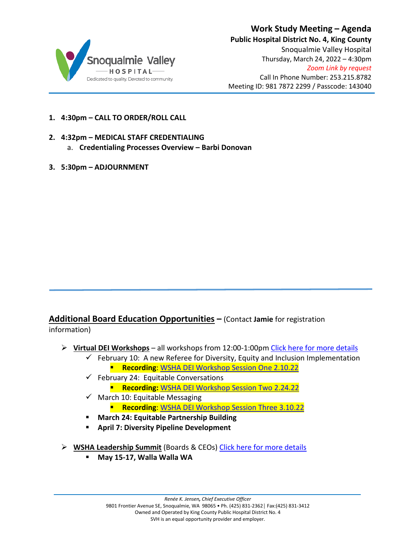

- **1. 4:30pm – CALL TO ORDER/ROLL CALL**
- **2. 4:32pm – MEDICAL STAFF CREDENTIALING**
	- a. **Credentialing Processes Overview – Barbi Donovan**
- **3. 5:30pm – ADJOURNMENT**

**Additional Board Education Opportunities –** (Contact **Jamie** for registration information)

- **Virtual DEI Workshops** all workshops from 12:00-1:00pm [Click here for more details](https://www.wsha.org/event/virtual-dei-workshop-session-1/)
	- $\checkmark$  February 10: A new Referee for Diversity, Equity and Inclusion Implementation **Recording:** [WSHA DEI Workshop Session One 2.10.22](https://vimeo.com/676093741)
	- $\checkmark$  February 24: Equitable Conversations
		- **Recording: [WSHA DEI Workshop Session Two 2.24.22](https://vimeo.com/681589156)**
	- $\checkmark$  March 10: Equitable Messaging **Recording: WSHA DEI Workshop Session Three 3.10.22**
	- **March 24: Equitable Partnership Building**
	- **April 7: Diversity Pipeline Development**
- **WSHA Leadership Summit** (Boards & CEOs) [Click here for more details](https://www.wsha.org/articles/wsha-announces-2022-hybrid-events-pilot/)
	- **May 15-17, Walla Walla WA**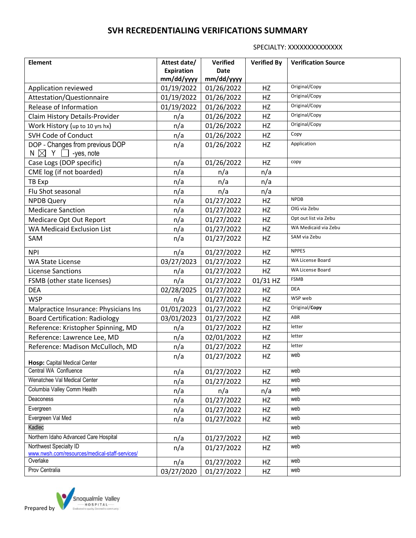SPECIALTY: XXXXXXXXXXXXX

| <b>Element</b>                                                      | Attest date/ | <b>Verified</b> | <b>Verified By</b> | <b>Verification Source</b> |
|---------------------------------------------------------------------|--------------|-----------------|--------------------|----------------------------|
|                                                                     | Expiration   | <b>Date</b>     |                    |                            |
|                                                                     | mm/dd/yyyy   | mm/dd/yyyy      |                    |                            |
| Application reviewed                                                | 01/19/2022   | 01/26/2022      | HZ                 | Original/Copy              |
| Attestation/Questionnaire                                           | 01/19/2022   | 01/26/2022      | HZ                 | Original/Copy              |
| Release of Information                                              | 01/19/2022   | 01/26/2022      | HZ                 | Original/Copy              |
| Claim History Details-Provider                                      | n/a          | 01/26/2022      | HZ                 | Original/Copy              |
| Work History (up to 10 yrs hx)                                      | n/a          | 01/26/2022      | HZ                 | Original/Copy              |
| <b>SVH Code of Conduct</b>                                          | n/a          | 01/26/2022      | HZ                 | Copy                       |
| DOP - Changes from previous DOP<br>N $\boxtimes$<br>Y<br>-yes, note | n/a          | 01/26/2022      | HZ                 | Application                |
|                                                                     |              |                 |                    | copy                       |
| Case Logs (DOP specific)                                            | n/a          | 01/26/2022      | HZ                 |                            |
| CME log (if not boarded)                                            | n/a          | n/a             | n/a                |                            |
| TB Exp                                                              | n/a          | n/a             | n/a                |                            |
| Flu Shot seasonal                                                   | n/a          | n/a             | n/a                |                            |
| <b>NPDB Query</b>                                                   | n/a          | 01/27/2022      | HZ                 | <b>NPDB</b>                |
| <b>Medicare Sanction</b>                                            | n/a          | 01/27/2022      | HZ                 | OIG via Zebu               |
| Medicare Opt Out Report                                             | n/a          | 01/27/2022      | HZ                 | Opt out list via Zebu      |
| <b>WA Medicaid Exclusion List</b>                                   | n/a          | 01/27/2022      | HZ                 | WA Medicaid via Zebu       |
| SAM                                                                 | n/a          | 01/27/2022      | HZ                 | SAM via Zebu               |
| <b>NPI</b>                                                          | n/a          | 01/27/2022      | HZ                 | <b>NPPES</b>               |
| <b>WA State License</b>                                             | 03/27/2023   | 01/27/2022      | HZ                 | WA License Board           |
| <b>License Sanctions</b>                                            | n/a          | 01/27/2022      | HZ                 | WA License Board           |
| FSMB (other state licenses)                                         | n/a          | 01/27/2022      | 01/31 HZ           | <b>FSMB</b>                |
| <b>DEA</b>                                                          | 02/28/2025   | 01/27/2022      | HZ                 | <b>DEA</b>                 |
| <b>WSP</b>                                                          | n/a          | 01/27/2022      | HZ                 | WSP web                    |
| Malpractice Insurance: Physicians Ins                               | 01/01/2023   | 01/27/2022      | HZ                 | Original/Copy              |
| <b>Board Certification: Radiology</b>                               | 03/01/2023   | 01/27/2022      | HZ                 | ABR                        |
| Reference: Kristopher Spinning, MD                                  | n/a          | 01/27/2022      | HZ                 | letter                     |
| Reference: Lawrence Lee, MD                                         | n/a          | 02/01/2022      | HZ                 | letter                     |
| Reference: Madison McCulloch, MD                                    | n/a          | 01/27/2022      | HZ                 | letter                     |
| Hosp: Capital Medical Center                                        | n/a          | 01/27/2022      | HZ                 | web                        |
| Central WA Confluence                                               | n/a          | 01/27/2022      | HZ                 | web                        |
| Wenatchee Val Medical Center                                        | n/a          | 01/27/2022      | HZ                 | web                        |
| Columbia Valley Comm Health                                         | n/a          | n/a             | n/a                | web                        |
| Deaconess                                                           | n/a          | 01/27/2022      | HZ                 | web                        |
| Evergreen                                                           | n/a          | 01/27/2022      | HZ                 | web                        |
| Evergreen Val Med                                                   |              | 01/27/2022      | HZ                 | web                        |
| Kadlec                                                              | n/a          |                 |                    | web                        |
| Northern Idaho Advanced Care Hospital                               |              |                 |                    | web                        |
| Northwest Specialty ID                                              | n/a          | 01/27/2022      | HZ                 | web                        |
| www.nwsh.com/resources/medical-staff-services/                      | n/a          | 01/27/2022      | HZ                 |                            |
| Overlake                                                            | n/a          | 01/27/2022      | HZ                 | web                        |
| Prov Centralia                                                      | 03/27/2020   | 01/27/2022      | HZ                 | web                        |

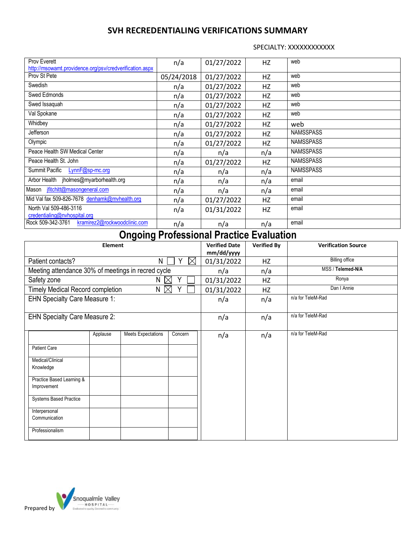SPECIALTY: XXXXXXXXXXXX

| Prov Everett<br>http://msowamt.providence.org/psv/credverification.aspx | n/a        | 01/27/2022 | HZ  | web              |
|-------------------------------------------------------------------------|------------|------------|-----|------------------|
| Prov St Pete                                                            | 05/24/2018 | 01/27/2022 | HZ  | web              |
| Swedish                                                                 | n/a        | 01/27/2022 | HZ  | web              |
| Swed Edmonds                                                            | n/a        | 01/27/2022 | HZ  | web              |
| Swed Issaquah                                                           | n/a        | 01/27/2022 | HZ  | web              |
| Val Spokane                                                             | n/a        | 01/27/2022 | HZ  | web              |
| Whidbey                                                                 | n/a        | 01/27/2022 | HZ  | web              |
| Jefferson                                                               | n/a        | 01/27/2022 | HZ  | <b>NAMSSPASS</b> |
| Olympic                                                                 | n/a        | 01/27/2022 | HZ  | <b>NAMSSPASS</b> |
| Peace Health SW Medical Center                                          | n/a        | n/a        | n/a | <b>NAMSSPASS</b> |
| Peace Health St. John                                                   | n/a        | 01/27/2022 | HZ  | <b>NAMSSPASS</b> |
| Summit Pacific<br>LynnF@sp-mc.org                                       | n/a        | n/a        | n/a | <b>NAMSSPASS</b> |
| Arbor Health<br>jholmes@myarborhealth.org                               | n/a        | n/a        | n/a | email            |
| jfitchitt@masongeneral.com<br>Mason                                     | n/a        | n/a        | n/a | email            |
| Mid Val fax 509-826-7678 denhamk@mvhealth.org                           | n/a        | 01/27/2022 | HZ  | email            |
| North Val 509-486-3116<br>credentialing@nvhospital.org                  | n/a        | 01/31/2022 | HZ  | email            |
| kramirez2@rockwoodclinic.com<br>Rock 509-342-3761                       | n/a        | n/a        | n/a | email            |

# **Ongoing Professional Practice Evaluation**

| <b>Element</b>                                     |                       |                           |          | <b>Verified Date</b><br>mm/dd/yyyy | <b>Verified By</b> | <b>Verification Source</b> |
|----------------------------------------------------|-----------------------|---------------------------|----------|------------------------------------|--------------------|----------------------------|
| Patient contacts?                                  | N<br>Y<br>$\boxtimes$ |                           |          | 01/31/2022                         | HZ                 | <b>Billing office</b>      |
| Meeting attendance 30% of meetings in recred cycle |                       |                           |          | n/a                                | n/a                | MSS / Telemed-N/A          |
| Safety zone                                        |                       | N.                        | $\times$ | 01/31/2022                         | HZ                 | Ronya                      |
| <b>Timely Medical Record completion</b>            |                       | $N \bowtie$               |          | 01/31/2022                         | HZ                 | Dan I Annie                |
| <b>EHN Specialty Care Measure 1:</b>               |                       |                           | n/a      | n/a                                | n/a for TeleM-Rad  |                            |
| <b>EHN Specialty Care Measure 2:</b>               |                       |                           | n/a      | n/a                                | n/a for TeleM-Rad  |                            |
|                                                    | Applause              | <b>Meets Expectations</b> | Concern  | n/a                                | n/a                | n/a for TeleM-Rad          |
| <b>Patient Care</b>                                |                       |                           |          |                                    |                    |                            |
| Medical/Clinical<br>Knowledge                      |                       |                           |          |                                    |                    |                            |
| Practice Based Learning &<br>Improvement           |                       |                           |          |                                    |                    |                            |
| <b>Systems Based Practice</b>                      |                       |                           |          |                                    |                    |                            |
| Interpersonal<br>Communication                     |                       |                           |          |                                    |                    |                            |
| Professionalism                                    |                       |                           |          |                                    |                    |                            |

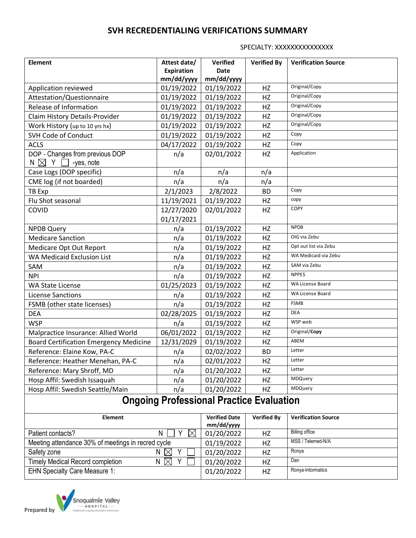SPECIALTY: XXXXXXXXXXXXXX

| <b>Element</b>                                                        | Attest date/                       | <b>Verified</b>    | <b>Verified By</b>         | <b>Verification Source</b> |  |  |  |  |
|-----------------------------------------------------------------------|------------------------------------|--------------------|----------------------------|----------------------------|--|--|--|--|
|                                                                       | Expiration                         | <b>Date</b>        |                            |                            |  |  |  |  |
|                                                                       | mm/dd/yyyy                         | mm/dd/yyyy         |                            |                            |  |  |  |  |
| Application reviewed                                                  | 01/19/2022                         | 01/19/2022         | HZ                         | Original/Copy              |  |  |  |  |
| Attestation/Questionnaire                                             | 01/19/2022                         | 01/19/2022         | HZ                         | Original/Copy              |  |  |  |  |
| Release of Information                                                | 01/19/2022                         | 01/19/2022         | HZ                         | Original/Copy              |  |  |  |  |
| Claim History Details-Provider                                        | 01/19/2022                         | 01/19/2022         | HZ                         | Original/Copy              |  |  |  |  |
| Work History (up to 10 yrs hx)                                        | 01/19/2022                         | 01/19/2022         | HZ                         | Original/Copy              |  |  |  |  |
| <b>SVH Code of Conduct</b>                                            | 01/19/2022                         | 01/19/2022         | HZ                         | Copy                       |  |  |  |  |
| <b>ACLS</b>                                                           | 04/17/2022                         | 01/19/2022         | HZ                         | Copy                       |  |  |  |  |
| DOP - Changes from previous DOP<br>$N \boxtimes Y \square$ -yes, note | n/a                                | 02/01/2022         | HZ                         | Application                |  |  |  |  |
| Case Logs (DOP specific)                                              | n/a                                | n/a                | n/a                        |                            |  |  |  |  |
| CME log (if not boarded)                                              | n/a                                | n/a                | n/a                        |                            |  |  |  |  |
| TB Exp                                                                | 2/1/2023                           | 2/8/2022           | <b>BD</b>                  | Copy                       |  |  |  |  |
| Flu Shot seasonal                                                     | 11/19/2021                         | 01/19/2022         | HZ                         | copy                       |  |  |  |  |
| COVID                                                                 | 12/27/2020<br>01/17/2021           | 02/01/2022         | HZ                         | COPY                       |  |  |  |  |
| <b>NPDB Query</b>                                                     | n/a                                | 01/19/2022         | HZ                         | <b>NPDB</b>                |  |  |  |  |
| <b>Medicare Sanction</b>                                              | n/a                                | 01/19/2022         | HZ                         | OIG via Zebu               |  |  |  |  |
| Medicare Opt Out Report                                               | n/a                                | 01/19/2022         | HZ                         | Opt out list via Zebu      |  |  |  |  |
| <b>WA Medicaid Exclusion List</b>                                     | n/a                                | 01/19/2022         | HZ                         | WA Medicaid via Zebu       |  |  |  |  |
| SAM                                                                   | n/a                                | 01/19/2022         | HZ                         | SAM via Zebu               |  |  |  |  |
| <b>NPI</b>                                                            | n/a                                | 01/19/2022         | HZ                         | <b>NPPES</b>               |  |  |  |  |
| <b>WA State License</b>                                               | 01/25/2023                         | 01/19/2022         | HZ                         | <b>WA License Board</b>    |  |  |  |  |
| <b>License Sanctions</b>                                              | n/a                                | 01/19/2022         | HZ                         | <b>WA License Board</b>    |  |  |  |  |
| FSMB (other state licenses)                                           | n/a                                | 01/19/2022         | HZ                         | <b>FSMB</b>                |  |  |  |  |
| <b>DEA</b>                                                            | 02/28/2025                         | 01/19/2022         | HZ                         | <b>DEA</b>                 |  |  |  |  |
| <b>WSP</b>                                                            | n/a                                | 01/19/2022         | HZ                         | WSP web                    |  |  |  |  |
| Malpractice Insurance: Allied World                                   | 06/01/2022                         | 01/19/2022         | HZ                         | Original/Copy              |  |  |  |  |
| <b>Board Certification Emergency Medicine</b>                         | 12/31/2029                         | 01/19/2022         | HZ                         | ABEM                       |  |  |  |  |
| Reference: Elaine Kow, PA-C                                           | n/a                                | 02/02/2022         | <b>BD</b>                  | Letter                     |  |  |  |  |
| Reference: Heather Menehan, PA-C                                      | n/a                                | 02/01/2022         | HZ                         | Letter                     |  |  |  |  |
| Reference: Mary Shroff, MD                                            | n/a                                | 01/20/2022         | HZ                         | Letter                     |  |  |  |  |
| Hosp Affil: Swedish Issaquah                                          | n/a                                | 01/20/2022         | HZ                         | MDQuery                    |  |  |  |  |
| Hosp Affil: Swedish Seattle/Main                                      | n/a                                | 01/20/2022         | HZ                         | MDQuery                    |  |  |  |  |
| <b>Ongoing Professional Practice Evaluation</b>                       |                                    |                    |                            |                            |  |  |  |  |
| <b>Element</b>                                                        | <b>Verified Date</b><br>mm/dd/yyyy | <b>Verified By</b> | <b>Verification Source</b> |                            |  |  |  |  |
| Patient contacts?                                                     | 01/20/2022                         | HZ                 | <b>Billing office</b>      |                            |  |  |  |  |
| Meeting attendance 30% of meetings in recred cycle                    | 01/19/2022                         | HZ                 | MSS / Telemed-N/A          |                            |  |  |  |  |
| Safety zone<br>N $\boxtimes$                                          | 01/20/2022                         | HZ                 | Ronya                      |                            |  |  |  |  |
| <b>Timely Medical Record completion</b>                               | $\boxtimes$<br>Y<br>N              | 01/20/2022         | HZ                         | Dan                        |  |  |  |  |
| FHN Specialty Care Measure 1:                                         |                                    | 01/20/2022         | H <sub>7</sub>             | Ronya-Intormatics          |  |  |  |  |



EHN Specialty Care Measure 1: 01/20/2022 HZ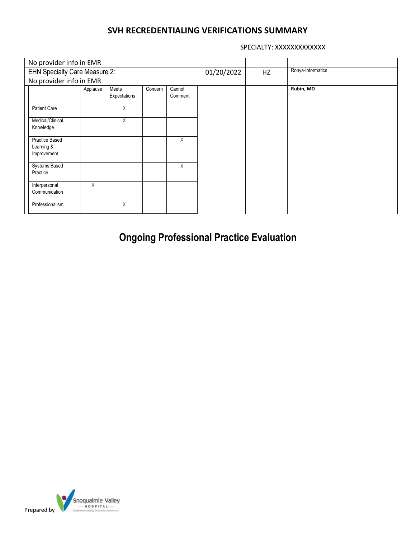SPECIALTY: XXXXXXXXXXXX

| No provider info in EMR                     |                                      |                       |         |                   |            |    |                   |
|---------------------------------------------|--------------------------------------|-----------------------|---------|-------------------|------------|----|-------------------|
|                                             | <b>EHN Specialty Care Measure 2:</b> |                       |         |                   | 01/20/2022 | HZ | Ronya-Intormatics |
|                                             | No provider info in EMR              |                       |         |                   |            |    |                   |
|                                             | Applause                             | Meets<br>Expectations | Concern | Cannot<br>Comment |            |    | Rubin, MD         |
| <b>Patient Care</b>                         |                                      | Χ                     |         |                   |            |    |                   |
| Medical/Clinical<br>Knowledge               |                                      | X                     |         |                   |            |    |                   |
| Practice Based<br>Learning &<br>Improvement |                                      |                       |         | X                 |            |    |                   |
| <b>Systems Based</b><br>Practice            |                                      |                       |         | X                 |            |    |                   |
| Interpersonal<br>Communication              | X                                    |                       |         |                   |            |    |                   |
| Professionalism                             |                                      | X                     |         |                   |            |    |                   |

**Ongoing Professional Practice Evaluation**

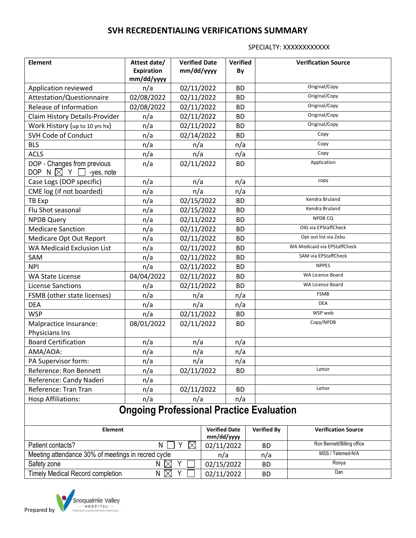SPECIALTY: XXXXXXXXXXXX

| <b>Element</b>                                                          | Attest date/             | <b>Verified Date</b>               |                         | <b>Verified</b>        |                            | <b>Verification Source</b>   |  |  |  |
|-------------------------------------------------------------------------|--------------------------|------------------------------------|-------------------------|------------------------|----------------------------|------------------------------|--|--|--|
|                                                                         | Expiration<br>mm/dd/yyyy | mm/dd/yyyy                         |                         | By                     |                            |                              |  |  |  |
| Application reviewed                                                    | n/a                      | 02/11/2022                         |                         | <b>BD</b>              |                            | Original/Copy                |  |  |  |
| Attestation/Questionnaire                                               | 02/08/2022               |                                    | 02/11/2022              |                        |                            | Original/Copy                |  |  |  |
| Release of Information                                                  | 02/08/2022               | 02/11/2022                         |                         | <b>BD</b><br><b>BD</b> |                            | Original/Copy                |  |  |  |
| Claim History Details-Provider                                          | n/a                      | 02/11/2022                         |                         | <b>BD</b>              |                            | Original/Copy                |  |  |  |
| Work History (up to 10 yrs hx)                                          | n/a                      | 02/11/2022                         |                         | <b>BD</b>              |                            | Original/Copy                |  |  |  |
| <b>SVH Code of Conduct</b>                                              | n/a                      | 02/14/2022                         |                         | <b>BD</b>              |                            | Copy                         |  |  |  |
| <b>BLS</b>                                                              | n/a                      | n/a                                |                         | n/a                    |                            | Copy                         |  |  |  |
| <b>ACLS</b>                                                             | n/a                      | n/a                                |                         | n/a                    |                            | Copy                         |  |  |  |
| DOP - Changes from previous<br>DOP N $\boxtimes$ Y $\Box$<br>-yes, note | n/a                      | 02/11/2022                         |                         | <b>BD</b>              |                            | Application                  |  |  |  |
| Case Logs (DOP specific)                                                | n/a                      | n/a                                |                         | n/a                    |                            | copy                         |  |  |  |
| CME log (if not boarded)                                                | n/a                      | n/a                                |                         | n/a                    |                            |                              |  |  |  |
| TB Exp                                                                  | n/a                      | 02/15/2022                         |                         | <b>BD</b>              |                            | Kendra Bruland               |  |  |  |
| Flu Shot seasonal                                                       | n/a                      | 02/15/2022                         |                         | <b>BD</b>              |                            | Kendra Bruland               |  |  |  |
| <b>NPDB Query</b>                                                       | n/a                      | 02/11/2022                         |                         | <b>BD</b>              |                            | NPDB CQ                      |  |  |  |
| <b>Medicare Sanction</b>                                                | n/a                      | 02/11/2022                         |                         | <b>BD</b>              |                            | OIG via EPStaffCheck         |  |  |  |
| Medicare Opt Out Report                                                 | n/a                      | 02/11/2022                         |                         | <b>BD</b>              |                            | Opt out list via Zebu        |  |  |  |
| <b>WA Medicaid Exclusion List</b>                                       | n/a                      | 02/11/2022                         |                         | <b>BD</b>              |                            | WA Medicaid via EPStaffCheck |  |  |  |
| SAM                                                                     | n/a                      | 02/11/2022                         |                         | <b>BD</b>              |                            | SAM via EPStaffCheck         |  |  |  |
| <b>NPI</b>                                                              | n/a                      | 02/11/2022                         |                         | <b>BD</b>              |                            | <b>NPPES</b>                 |  |  |  |
| <b>WA State License</b>                                                 | 04/04/2022               | 02/11/2022                         |                         | <b>BD</b>              |                            | WA License Board             |  |  |  |
| <b>License Sanctions</b>                                                | n/a                      |                                    | 02/11/2022<br><b>BD</b> |                        |                            | WA License Board             |  |  |  |
| FSMB (other state licenses)                                             | n/a                      | n/a<br>n/a                         |                         |                        | <b>FSMB</b>                |                              |  |  |  |
| <b>DEA</b>                                                              | n/a                      | n/a                                |                         | n/a                    |                            | <b>DEA</b>                   |  |  |  |
| <b>WSP</b>                                                              | n/a                      | 02/11/2022                         |                         | <b>BD</b>              |                            | WSP web                      |  |  |  |
| Malpractice Insurance:<br>Physicians Ins                                | 08/01/2022               | 02/11/2022                         |                         | <b>BD</b>              |                            | Copy/NPDB                    |  |  |  |
| <b>Board Certification</b>                                              | n/a                      | n/a                                |                         | n/a                    |                            |                              |  |  |  |
| AMA/AOA:                                                                | n/a                      | n/a                                |                         | n/a                    |                            |                              |  |  |  |
| PA Supervisor form:                                                     | n/a                      | n/a                                |                         | n/a                    |                            |                              |  |  |  |
| Reference: Ron Bennett                                                  | n/a                      | 02/11/2022                         |                         | <b>BD</b>              |                            | Letter                       |  |  |  |
| Reference: Candy Naderi                                                 | n/a                      |                                    |                         |                        |                            |                              |  |  |  |
| Reference: Tran Tran                                                    | n/a                      | 02/11/2022                         |                         | <b>BD</b>              |                            | Letter                       |  |  |  |
| <b>Hosp Affiliations:</b>                                               | n/a                      | n/a                                | n/a                     |                        |                            |                              |  |  |  |
| <b>Ongoing Professional Practice Evaluation</b>                         |                          |                                    |                         |                        |                            |                              |  |  |  |
| Element                                                                 |                          | <b>Verified Date</b><br>mm/dd/yyyy |                         | <b>Verified By</b>     | <b>Verification Source</b> |                              |  |  |  |
| Patient contacts?<br>Y<br>N<br>$\boxtimes$                              |                          |                                    | 02/11/2022              |                        | <b>BD</b>                  | Ron Bennett/Billing office   |  |  |  |
| Meeting attendance 30% of meetings in recred cycle                      |                          |                                    | n/a                     |                        | n/a                        | MSS / Telemed-N/A            |  |  |  |
| Safety zone<br>N $\boxtimes$<br>Υ                                       |                          |                                    |                         | 02/15/2022             | <b>BD</b>                  | Ronya                        |  |  |  |
| <b>Timely Medical Record completion</b><br>N $\boxtimes$<br>Y           |                          |                                    |                         | 02/11/2022             | <b>BD</b>                  | Dan                          |  |  |  |